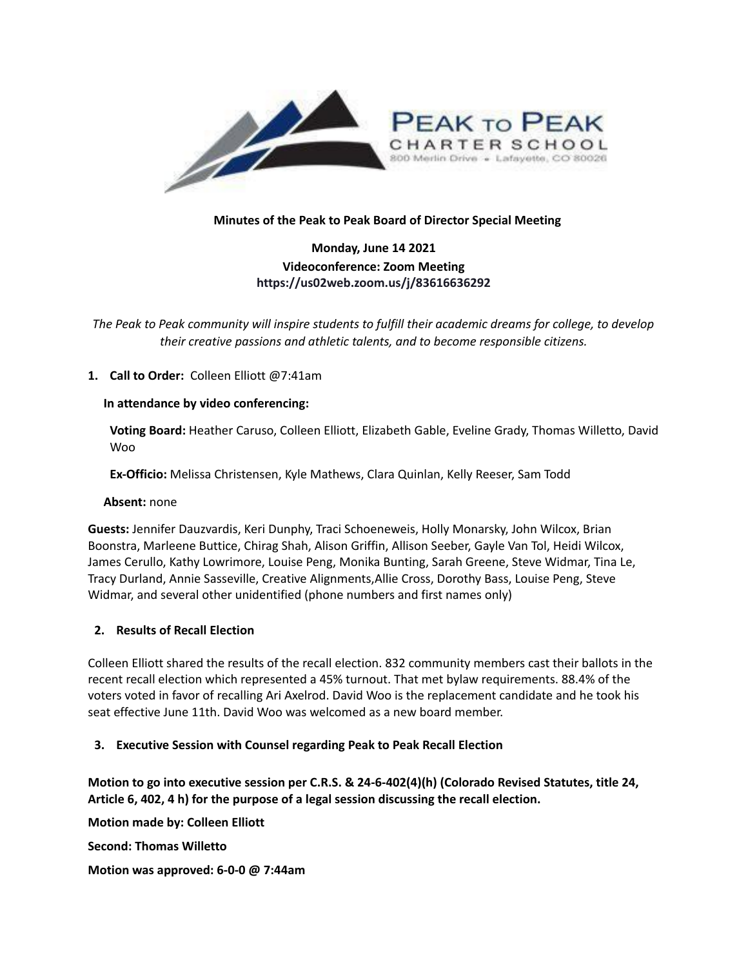

## **Minutes of the Peak to Peak Board of Director Special Meeting**

# **Monday, June 14 2021 Videoconference: Zoom Meeting https://us02web.zoom.us/j/83616636292**

*The Peak to Peak community will inspire students to fulfill their academic dreams for college, to develop their creative passions and athletic talents, and to become responsible citizens.*

## **1. Call to Order:** Colleen Elliott @7:41am

#### **In attendance by video conferencing:**

**Voting Board:** Heather Caruso, Colleen Elliott, Elizabeth Gable, Eveline Grady, Thomas Willetto, David Woo

**Ex-Officio:** Melissa Christensen, Kyle Mathews, Clara Quinlan, Kelly Reeser, Sam Todd

#### **Absent:** none

**Guests:** Jennifer Dauzvardis, Keri Dunphy, Traci Schoeneweis, Holly Monarsky, John Wilcox, Brian Boonstra, Marleene Buttice, Chirag Shah, Alison Griffin, Allison Seeber, Gayle Van Tol, Heidi Wilcox, James Cerullo, Kathy Lowrimore, Louise Peng, Monika Bunting, Sarah Greene, Steve Widmar, Tina Le, Tracy Durland, Annie Sasseville, Creative Alignments,Allie Cross, Dorothy Bass, Louise Peng, Steve Widmar, and several other unidentified (phone numbers and first names only)

# **2. Results of Recall Election**

Colleen Elliott shared the results of the recall election. 832 community members cast their ballots in the recent recall election which represented a 45% turnout. That met bylaw requirements. 88.4% of the voters voted in favor of recalling Ari Axelrod. David Woo is the replacement candidate and he took his seat effective June 11th. David Woo was welcomed as a new board member.

# **3. Executive Session with Counsel regarding Peak to Peak Recall Election**

**Motion to go into executive session per C.R.S. & 24-6-402(4)(h) (Colorado Revised Statutes, title 24, Article 6, 402, 4 h) for the purpose of a legal session discussing the recall election.**

**Motion made by: Colleen Elliott Second: Thomas Willetto Motion was approved: 6-0-0 @ 7:44am**